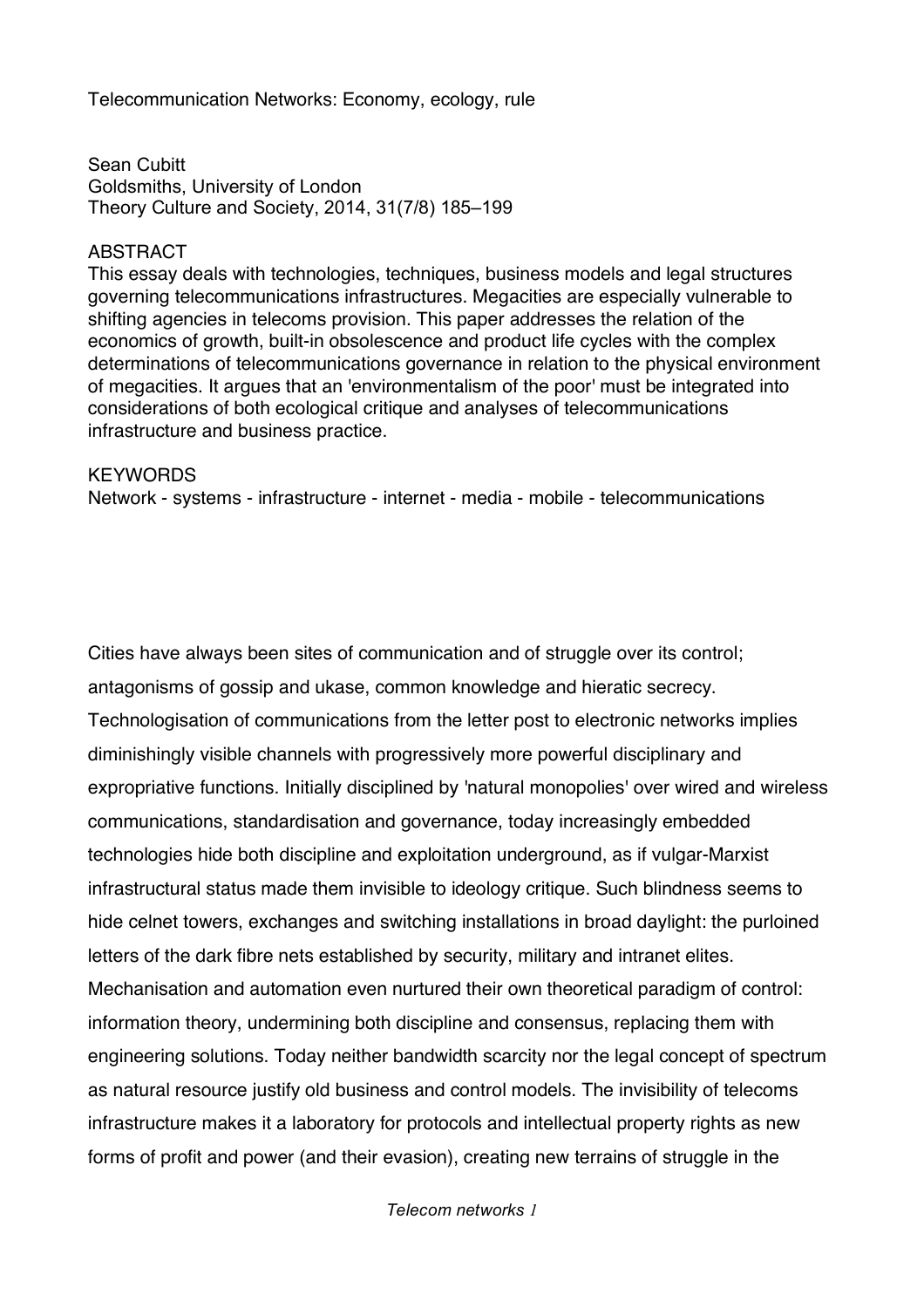Telecommunication Networks: Economy, ecology, rule

Sean Cubitt Goldsmiths, University of London Theory Culture and Society, 2014, 31(7/8) 185–199

#### ABSTRACT

This essay deals with technologies, techniques, business models and legal structures governing telecommunications infrastructures. Megacities are especially vulnerable to shifting agencies in telecoms provision. This paper addresses the relation of the economics of growth, built-in obsolescence and product life cycles with the complex determinations of telecommunications governance in relation to the physical environment of megacities. It argues that an 'environmentalism of the poor' must be integrated into considerations of both ecological critique and analyses of telecommunications infrastructure and business practice.

#### KEYWORDS

Network - systems - infrastructure - internet - media - mobile - telecommunications

Cities have always been sites of communication and of struggle over its control; antagonisms of gossip and ukase, common knowledge and hieratic secrecy. Technologisation of communications from the letter post to electronic networks implies diminishingly visible channels with progressively more powerful disciplinary and expropriative functions. Initially disciplined by 'natural monopolies' over wired and wireless communications, standardisation and governance, today increasingly embedded technologies hide both discipline and exploitation underground, as if vulgar-Marxist infrastructural status made them invisible to ideology critique. Such blindness seems to hide celnet towers, exchanges and switching installations in broad daylight: the purloined letters of the dark fibre nets established by security, military and intranet elites. Mechanisation and automation even nurtured their own theoretical paradigm of control: information theory, undermining both discipline and consensus, replacing them with engineering solutions. Today neither bandwidth scarcity nor the legal concept of spectrum as natural resource justify old business and control models. The invisibility of telecoms infrastructure makes it a laboratory for protocols and intellectual property rights as new forms of profit and power (and their evasion), creating new terrains of struggle in the

*Telecom networks 1*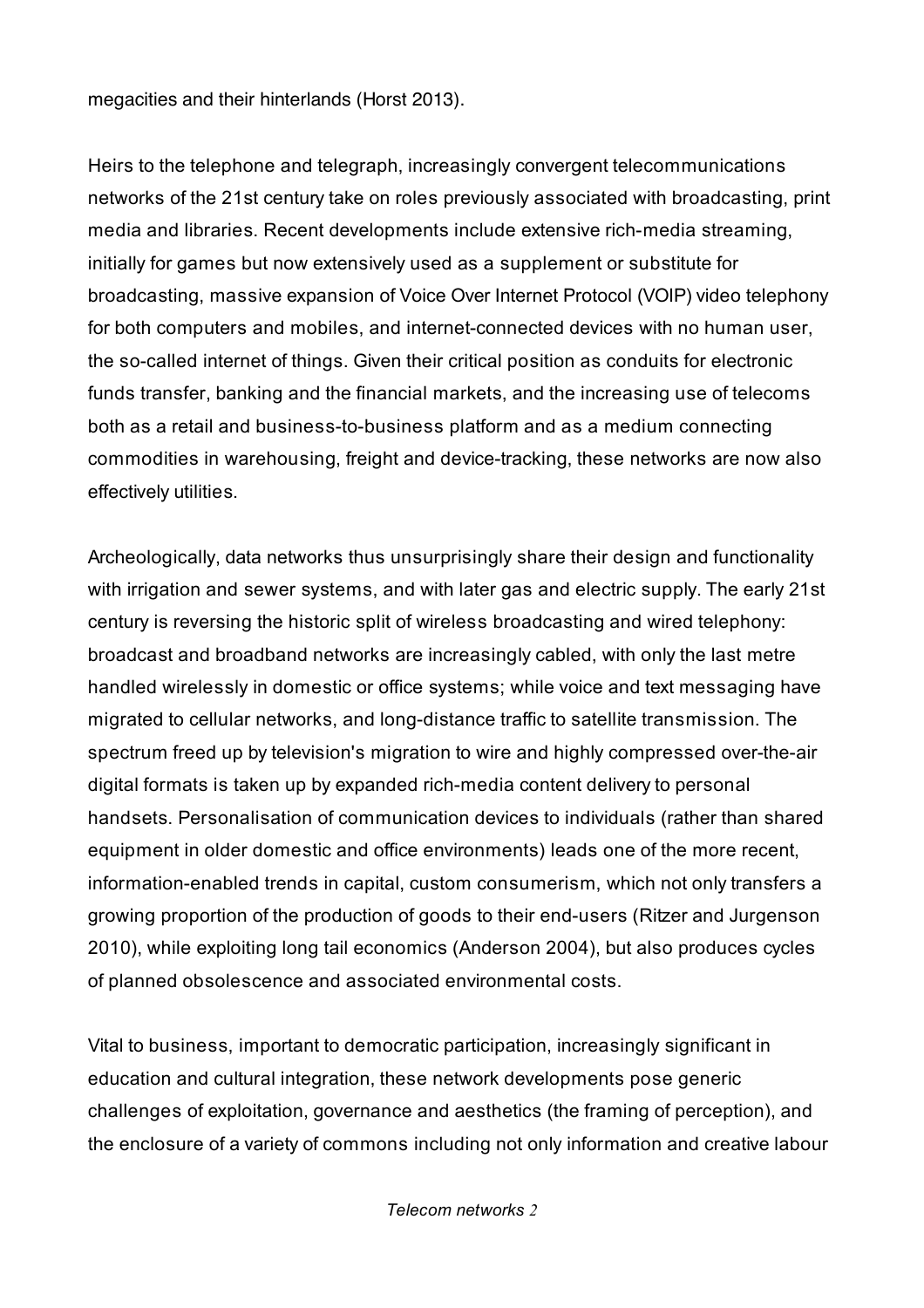megacities and their hinterlands (Horst 2013).

Heirs to the telephone and telegraph, increasingly convergent telecommunications networks of the 21st century take on roles previously associated with broadcasting, print media and libraries. Recent developments include extensive rich-media streaming, initially for games but now extensively used as a supplement or substitute for broadcasting, massive expansion of Voice Over Internet Protocol (VOIP) video telephony for both computers and mobiles, and internet-connected devices with no human user, the so-called internet of things. Given their critical position as conduits for electronic funds transfer, banking and the financial markets, and the increasing use of telecoms both as a retail and business-to-business platform and as a medium connecting commodities in warehousing, freight and device-tracking, these networks are now also effectively utilities.

Archeologically, data networks thus unsurprisingly share their design and functionality with irrigation and sewer systems, and with later gas and electric supply. The early 21st century is reversing the historic split of wireless broadcasting and wired telephony: broadcast and broadband networks are increasingly cabled, with only the last metre handled wirelessly in domestic or office systems; while voice and text messaging have migrated to cellular networks, and long-distance traffic to satellite transmission. The spectrum freed up by television's migration to wire and highly compressed over-the-air digital formats is taken up by expanded rich-media content delivery to personal handsets. Personalisation of communication devices to individuals (rather than shared equipment in older domestic and office environments) leads one of the more recent, information-enabled trends in capital, custom consumerism, which not only transfers a growing proportion of the production of goods to their end-users (Ritzer and Jurgenson 2010), while exploiting long tail economics (Anderson 2004), but also produces cycles of planned obsolescence and associated environmental costs.

Vital to business, important to democratic participation, increasingly significant in education and cultural integration, these network developments pose generic challenges of exploitation, governance and aesthetics (the framing of perception), and the enclosure of a variety of commons including not only information and creative labour

*Telecom networks 2*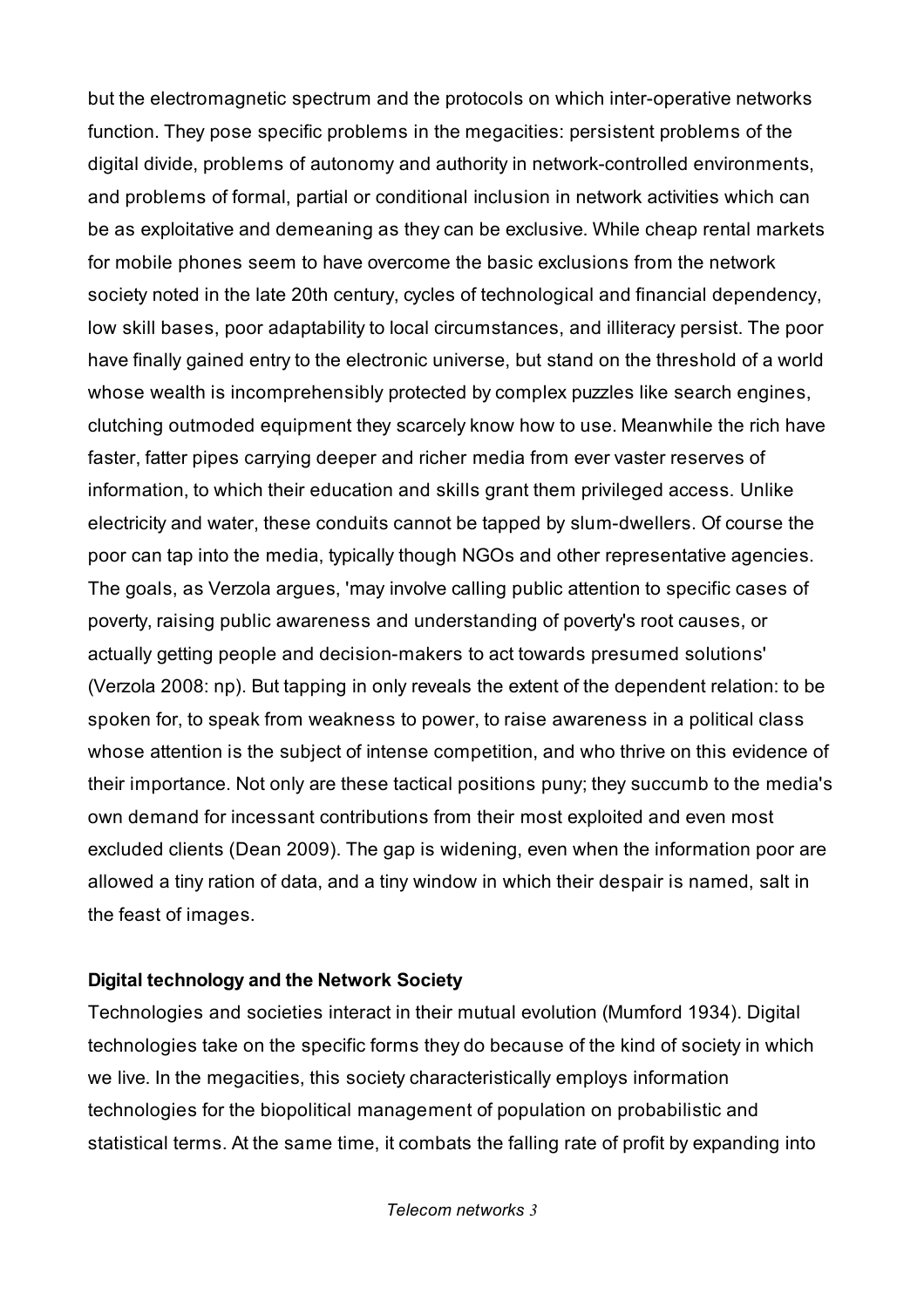but the electromagnetic spectrum and the protocols on which inter-operative networks function. They pose specific problems in the megacities: persistent problems of the digital divide, problems of autonomy and authority in network-controlled environments, and problems of formal, partial or conditional inclusion in network activities which can be as exploitative and demeaning as they can be exclusive. While cheap rental markets for mobile phones seem to have overcome the basic exclusions from the network society noted in the late 20th century, cycles of technological and financial dependency, low skill bases, poor adaptability to local circumstances, and illiteracy persist. The poor have finally gained entry to the electronic universe, but stand on the threshold of a world whose wealth is incomprehensibly protected by complex puzzles like search engines, clutching outmoded equipment they scarcely know how to use. Meanwhile the rich have faster, fatter pipes carrying deeper and richer media from ever vaster reserves of information, to which their education and skills grant them privileged access. Unlike electricity and water, these conduits cannot be tapped by slum-dwellers. Of course the poor can tap into the media, typically though NGOs and other representative agencies. The goals, as Verzola argues, 'may involve calling public attention to specific cases of poverty, raising public awareness and understanding of poverty's root causes, or actually getting people and decision-makers to act towards presumed solutions' (Verzola 2008: np). But tapping in only reveals the extent of the dependent relation: to be spoken for, to speak from weakness to power, to raise awareness in a political class whose attention is the subject of intense competition, and who thrive on this evidence of their importance. Not only are these tactical positions puny; they succumb to the media's own demand for incessant contributions from their most exploited and even most excluded clients (Dean 2009). The gap is widening, even when the information poor are allowed a tiny ration of data, and a tiny window in which their despair is named, salt in the feast of images.

# **Digital technology and the Network Society**

Technologies and societies interact in their mutual evolution (Mumford 1934). Digital technologies take on the specific forms they do because of the kind of society in which we live. In the megacities, this society characteristically employs information technologies for the biopolitical management of population on probabilistic and statistical terms. At the same time, it combats the falling rate of profit by expanding into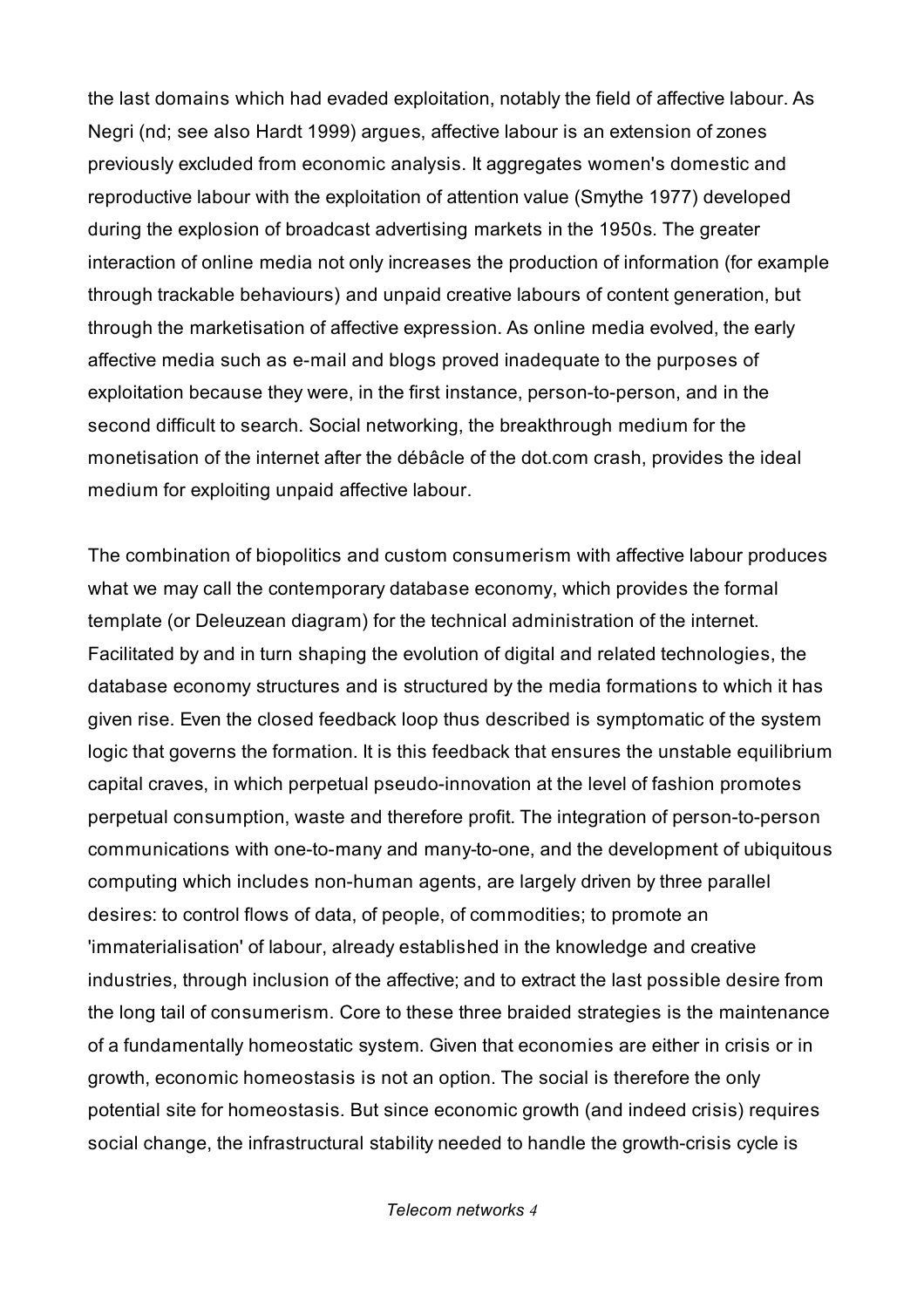the last domains which had evaded exploitation, notably the field of affective labour. As Negri (nd; see also Hardt 1999) argues, affective labour is an extension of zones previously excluded from economic analysis. It aggregates women's domestic and reproductive labour with the exploitation of attention value (Smythe 1977) developed during the explosion of broadcast advertising markets in the 1950s. The greater interaction of online media not only increases the production of information (for example through trackable behaviours) and unpaid creative labours of content generation, but through the marketisation of affective expression. As online media evolved, the early affective media such as e-mail and blogs proved inadequate to the purposes of exploitation because they were, in the first instance, person-to-person, and in the second difficult to search. Social networking, the breakthrough medium for the monetisation of the internet after the débâcle of the dot.com crash, provides the ideal medium for exploiting unpaid affective labour.

The combination of biopolitics and custom consumerism with affective labour produces what we may call the contemporary database economy, which provides the formal template (or Deleuzean diagram) for the technical administration of the internet. Facilitated by and in turn shaping the evolution of digital and related technologies, the database economy structures and is structured by the media formations to which it has given rise. Even the closed feedback loop thus described is symptomatic of the system logic that governs the formation. It is this feedback that ensures the unstable equilibrium capital craves, in which perpetual pseudo-innovation at the level of fashion promotes perpetual consumption, waste and therefore profit. The integration of person-to-person communications with one-to-many and many-to-one, and the development of ubiquitous computing which includes non-human agents, are largely driven by three parallel desires: to control flows of data, of people, of commodities; to promote an 'immaterialisation' of labour, already established in the knowledge and creative industries, through inclusion of the affective; and to extract the last possible desire from the long tail of consumerism. Core to these three braided strategies is the maintenance of a fundamentally homeostatic system. Given that economies are either in crisis or in growth, economic homeostasis is not an option. The social is therefore the only potential site for homeostasis. But since economic growth (and indeed crisis) requires social change, the infrastructural stability needed to handle the growth-crisis cycle is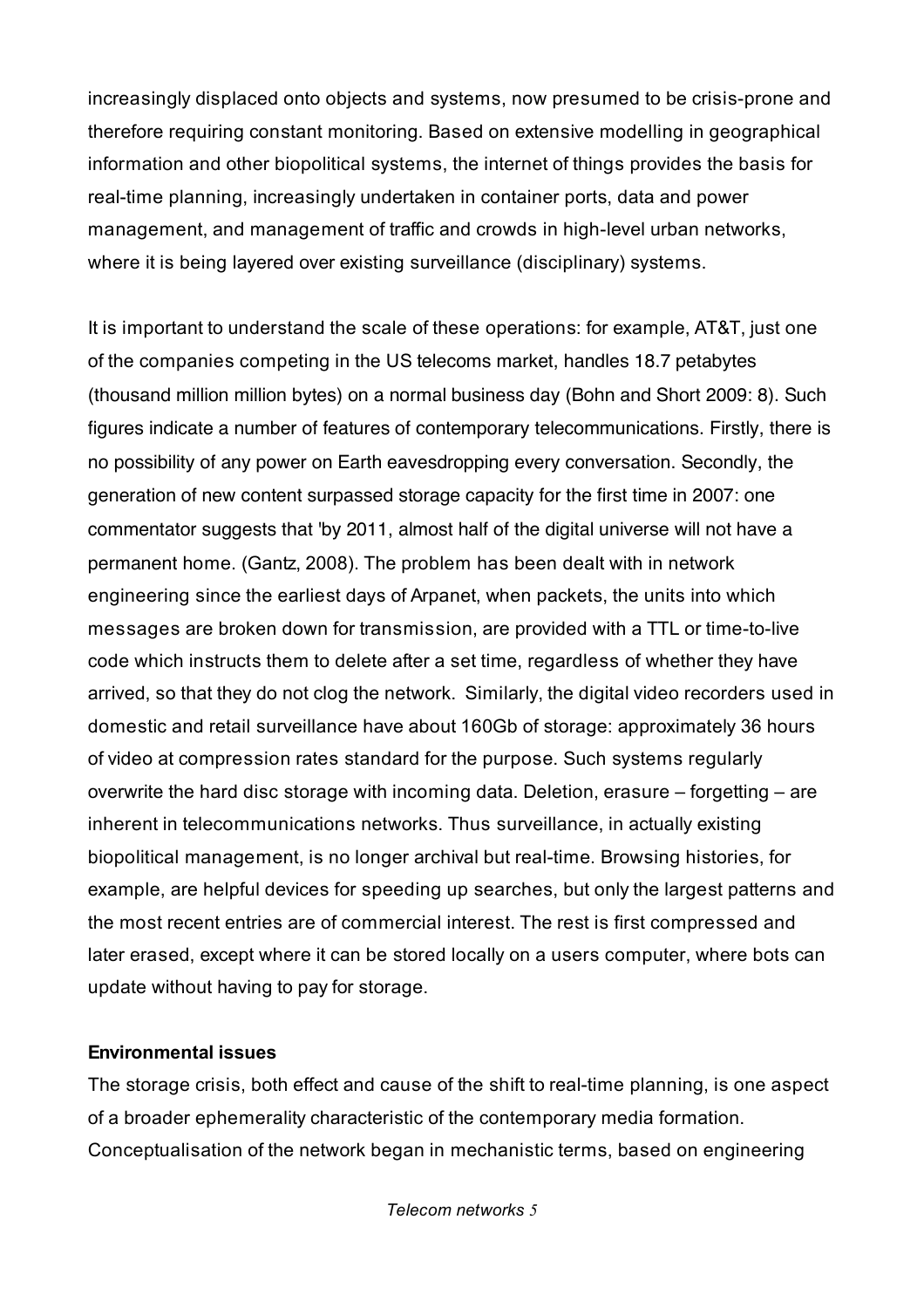increasingly displaced onto objects and systems, now presumed to be crisis-prone and therefore requiring constant monitoring. Based on extensive modelling in geographical information and other biopolitical systems, the internet of things provides the basis for real-time planning, increasingly undertaken in container ports, data and power management, and management of traffic and crowds in high-level urban networks, where it is being layered over existing surveillance (disciplinary) systems.

It is important to understand the scale of these operations: for example, AT&T, just one of the companies competing in the US telecoms market, handles 18.7 petabytes (thousand million million bytes) on a normal business day (Bohn and Short 2009: 8). Such figures indicate a number of features of contemporary telecommunications. Firstly, there is no possibility of any power on Earth eavesdropping every conversation. Secondly, the generation of new content surpassed storage capacity for the first time in 2007: one commentator suggests that 'by 2011, almost half of the digital universe will not have a permanent home. (Gantz, 2008). The problem has been dealt with in network engineering since the earliest days of Arpanet, when packets, the units into which messages are broken down for transmission, are provided with a TTL or time-to-live code which instructs them to delete after a set time, regardless of whether they have arrived, so that they do not clog the network. Similarly, the digital video recorders used in domestic and retail surveillance have about 160Gb of storage: approximately 36 hours of video at compression rates standard for the purpose. Such systems regularly overwrite the hard disc storage with incoming data. Deletion, erasure – forgetting – are inherent in telecommunications networks. Thus surveillance, in actually existing biopolitical management, is no longer archival but real-time. Browsing histories, for example, are helpful devices for speeding up searches, but only the largest patterns and the most recent entries are of commercial interest. The rest is first compressed and later erased, except where it can be stored locally on a users computer, where bots can update without having to pay for storage.

# **Environmental issues**

The storage crisis, both effect and cause of the shift to real-time planning, is one aspect of a broader ephemerality characteristic of the contemporary media formation. Conceptualisation of the network began in mechanistic terms, based on engineering

*Telecom networks 5*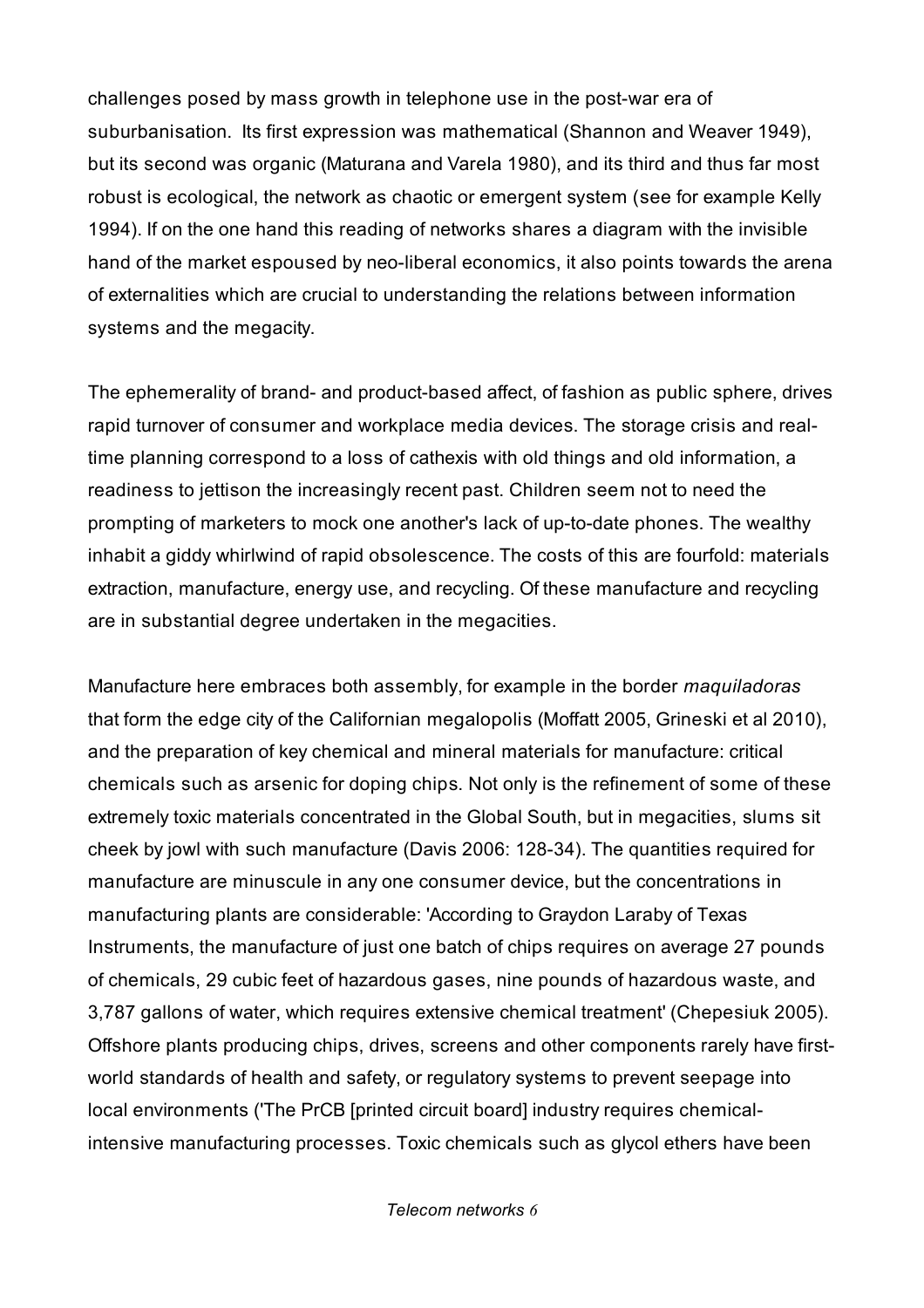challenges posed by mass growth in telephone use in the post-war era of suburbanisation. Its first expression was mathematical (Shannon and Weaver 1949), but its second was organic (Maturana and Varela 1980), and its third and thus far most robust is ecological, the network as chaotic or emergent system (see for example Kelly 1994). If on the one hand this reading of networks shares a diagram with the invisible hand of the market espoused by neo-liberal economics, it also points towards the arena of externalities which are crucial to understanding the relations between information systems and the megacity.

The ephemerality of brand- and product-based affect, of fashion as public sphere, drives rapid turnover of consumer and workplace media devices. The storage crisis and realtime planning correspond to a loss of cathexis with old things and old information, a readiness to jettison the increasingly recent past. Children seem not to need the prompting of marketers to mock one another's lack of up-to-date phones. The wealthy inhabit a giddy whirlwind of rapid obsolescence. The costs of this are fourfold: materials extraction, manufacture, energy use, and recycling. Of these manufacture and recycling are in substantial degree undertaken in the megacities.

Manufacture here embraces both assembly, for example in the border *maquiladoras* that form the edge city of the Californian megalopolis (Moffatt 2005, Grineski et al 2010), and the preparation of key chemical and mineral materials for manufacture: critical chemicals such as arsenic for doping chips. Not only is the refinement of some of these extremely toxic materials concentrated in the Global South, but in megacities, slums sit cheek by jowl with such manufacture (Davis 2006: 128-34). The quantities required for manufacture are minuscule in any one consumer device, but the concentrations in manufacturing plants are considerable: 'According to Graydon Laraby of Texas Instruments, the manufacture of just one batch of chips requires on average 27 pounds of chemicals, 29 cubic feet of hazardous gases, nine pounds of hazardous waste, and 3,787 gallons of water, which requires extensive chemical treatment' (Chepesiuk 2005). Offshore plants producing chips, drives, screens and other components rarely have firstworld standards of health and safety, or regulatory systems to prevent seepage into local environments ('The PrCB [printed circuit board] industry requires chemicalintensive manufacturing processes. Toxic chemicals such as glycol ethers have been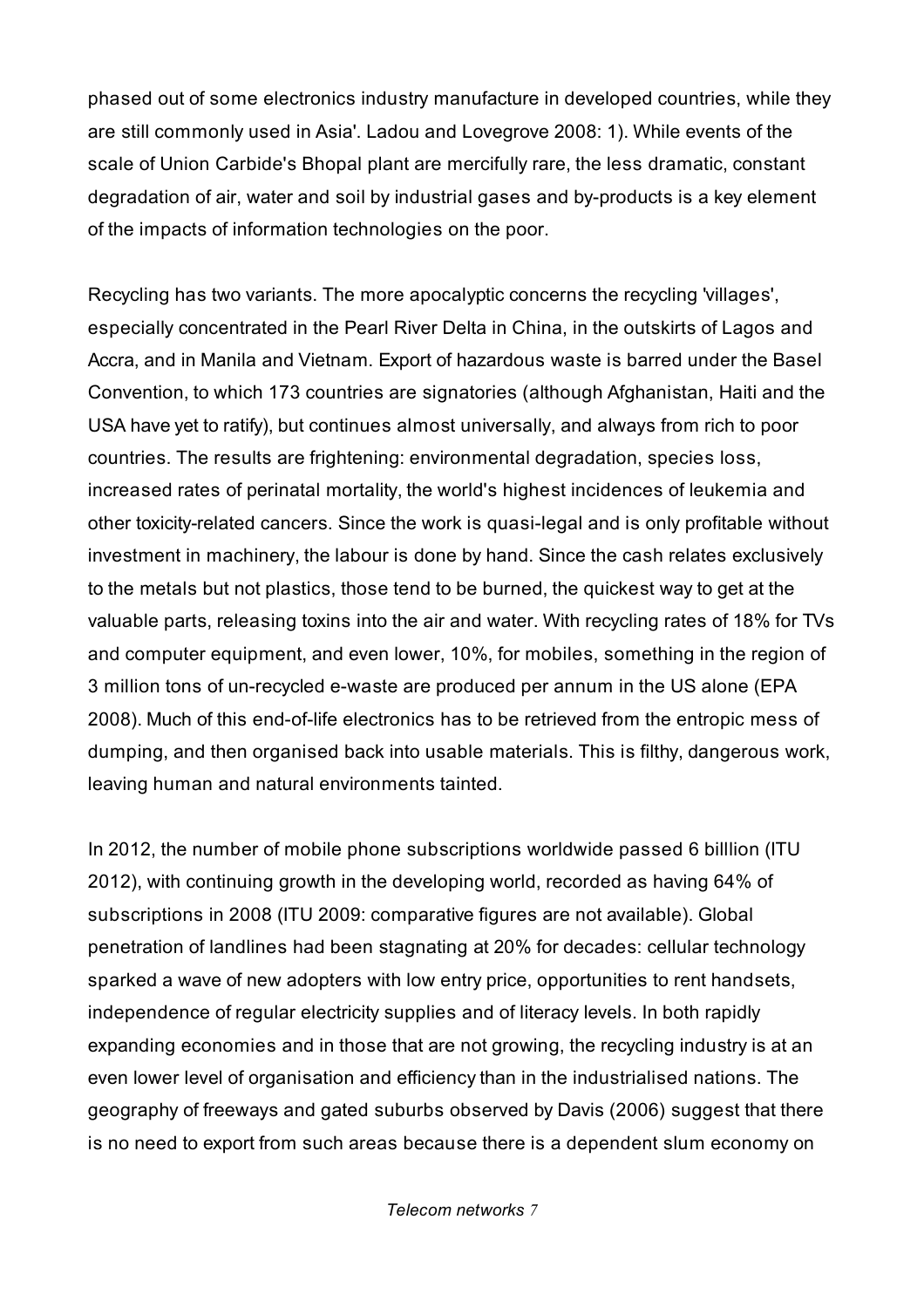phased out of some electronics industry manufacture in developed countries, while they are still commonly used in Asia'. Ladou and Lovegrove 2008: 1). While events of the scale of Union Carbide's Bhopal plant are mercifully rare, the less dramatic, constant degradation of air, water and soil by industrial gases and by-products is a key element of the impacts of information technologies on the poor.

Recycling has two variants. The more apocalyptic concerns the recycling 'villages', especially concentrated in the Pearl River Delta in China, in the outskirts of Lagos and Accra, and in Manila and Vietnam. Export of hazardous waste is barred under the Basel Convention, to which 173 countries are signatories (although Afghanistan, Haiti and the USA have yet to ratify), but continues almost universally, and always from rich to poor countries. The results are frightening: environmental degradation, species loss, increased rates of perinatal mortality, the world's highest incidences of leukemia and other toxicity-related cancers. Since the work is quasi-legal and is only profitable without investment in machinery, the labour is done by hand. Since the cash relates exclusively to the metals but not plastics, those tend to be burned, the quickest way to get at the valuable parts, releasing toxins into the air and water. With recycling rates of 18% for TVs and computer equipment, and even lower, 10%, for mobiles, something in the region of 3 million tons of un-recycled e-waste are produced per annum in the US alone (EPA 2008). Much of this end-of-life electronics has to be retrieved from the entropic mess of dumping, and then organised back into usable materials. This is filthy, dangerous work, leaving human and natural environments tainted.

In 2012, the number of mobile phone subscriptions worldwide passed 6 billlion (ITU 2012), with continuing growth in the developing world, recorded as having 64% of subscriptions in 2008 (ITU 2009: comparative figures are not available). Global penetration of landlines had been stagnating at 20% for decades: cellular technology sparked a wave of new adopters with low entry price, opportunities to rent handsets, independence of regular electricity supplies and of literacy levels. In both rapidly expanding economies and in those that are not growing, the recycling industry is at an even lower level of organisation and efficiency than in the industrialised nations. The geography of freeways and gated suburbs observed by Davis (2006) suggest that there is no need to export from such areas because there is a dependent slum economy on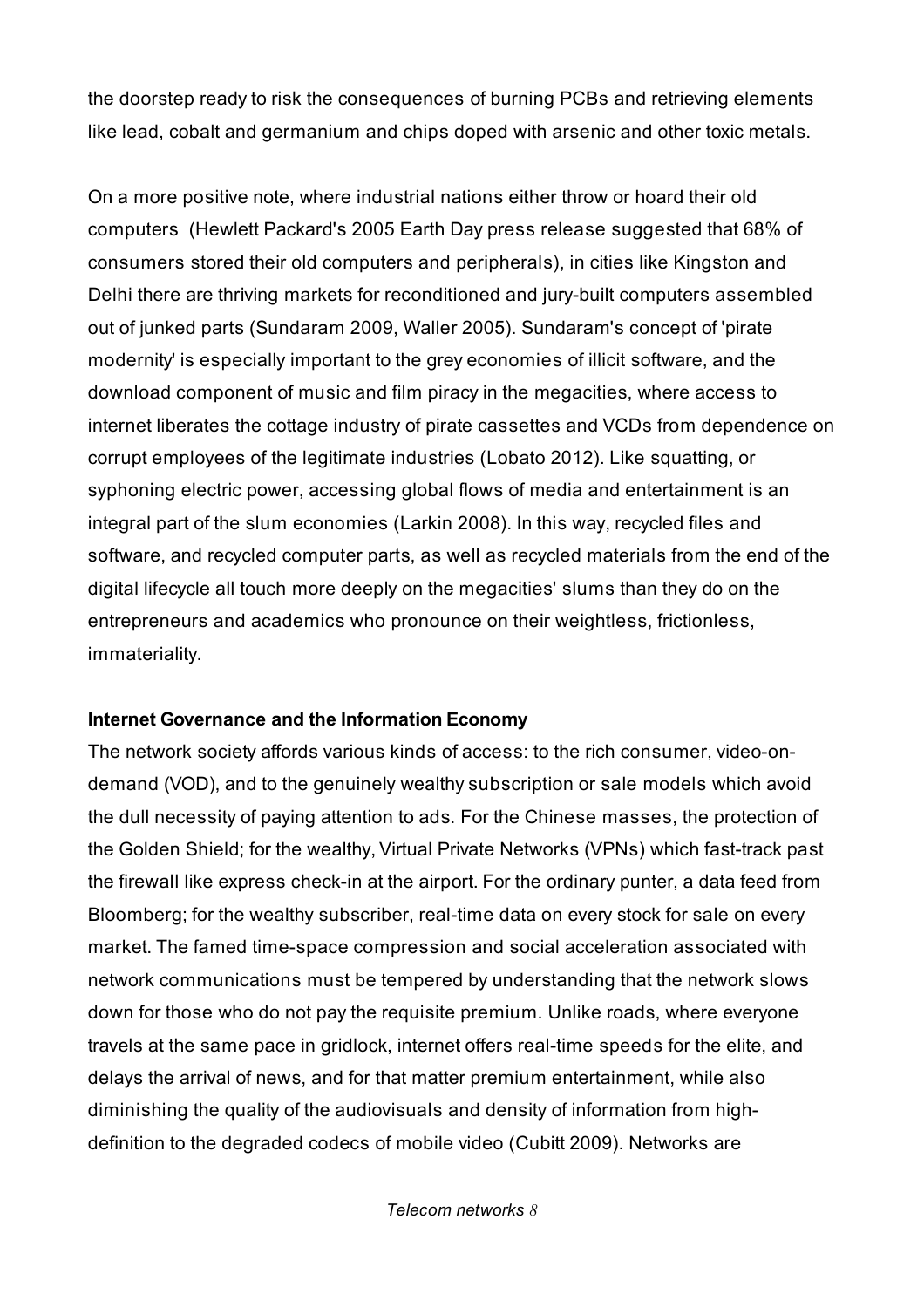the doorstep ready to risk the consequences of burning PCBs and retrieving elements like lead, cobalt and germanium and chips doped with arsenic and other toxic metals.

On a more positive note, where industrial nations either throw or hoard their old computers (Hewlett Packard's 2005 Earth Day press release suggested that 68% of consumers stored their old computers and peripherals), in cities like Kingston and Delhi there are thriving markets for reconditioned and jury-built computers assembled out of junked parts (Sundaram 2009, Waller 2005). Sundaram's concept of 'pirate modernity' is especially important to the grey economies of illicit software, and the download component of music and film piracy in the megacities, where access to internet liberates the cottage industry of pirate cassettes and VCDs from dependence on corrupt employees of the legitimate industries (Lobato 2012). Like squatting, or syphoning electric power, accessing global flows of media and entertainment is an integral part of the slum economies (Larkin 2008). In this way, recycled files and software, and recycled computer parts, as well as recycled materials from the end of the digital lifecycle all touch more deeply on the megacities' slums than they do on the entrepreneurs and academics who pronounce on their weightless, frictionless, immateriality.

# **Internet Governance and the Information Economy**

The network society affords various kinds of access: to the rich consumer, video-ondemand (VOD), and to the genuinely wealthy subscription or sale models which avoid the dull necessity of paying attention to ads. For the Chinese masses, the protection of the Golden Shield; for the wealthy, Virtual Private Networks (VPNs) which fast-track past the firewall like express check-in at the airport. For the ordinary punter, a data feed from Bloomberg; for the wealthy subscriber, real-time data on every stock for sale on every market. The famed time-space compression and social acceleration associated with network communications must be tempered by understanding that the network slows down for those who do not pay the requisite premium. Unlike roads, where everyone travels at the same pace in gridlock, internet offers real-time speeds for the elite, and delays the arrival of news, and for that matter premium entertainment, while also diminishing the quality of the audiovisuals and density of information from highdefinition to the degraded codecs of mobile video (Cubitt 2009). Networks are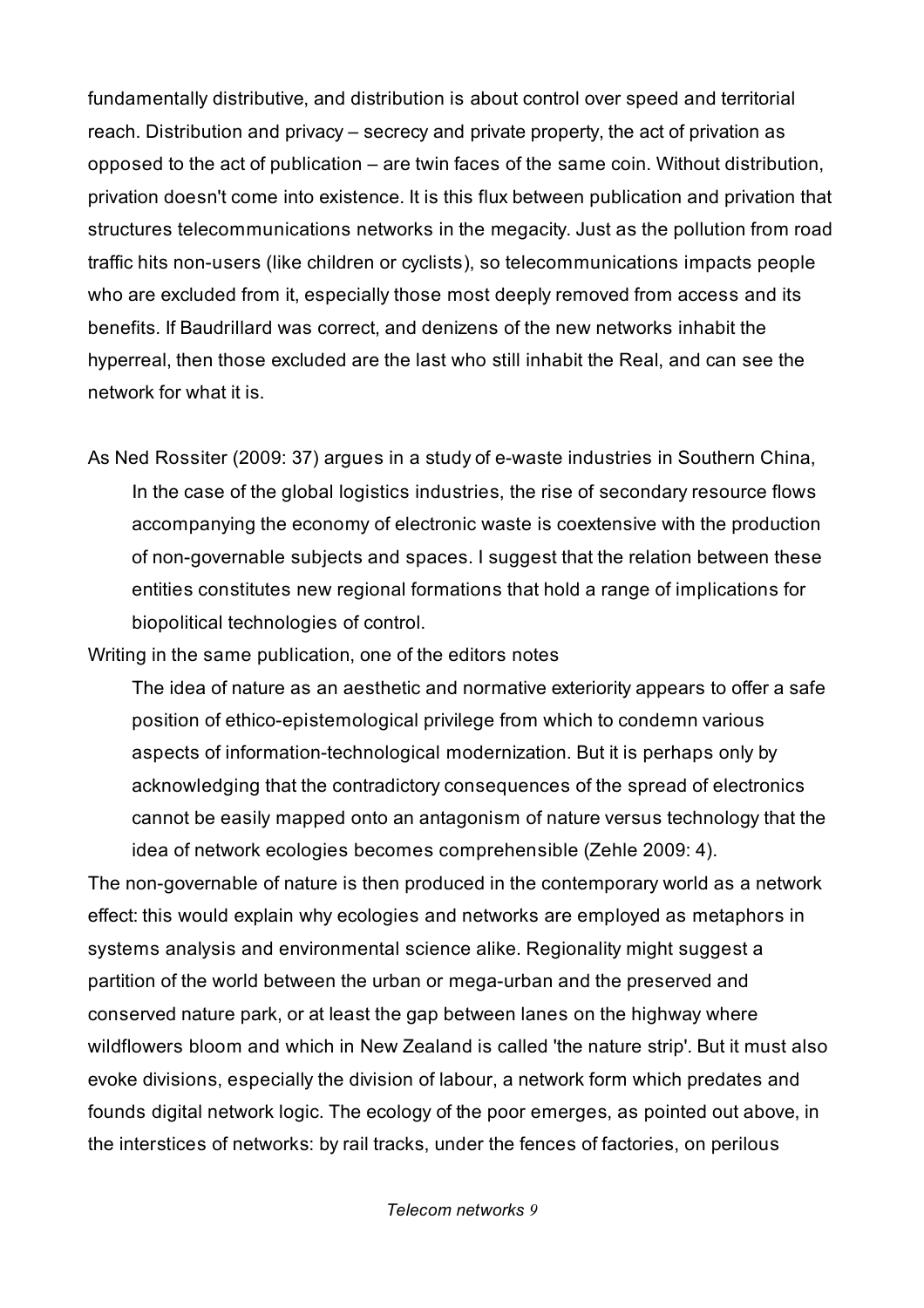fundamentally distributive, and distribution is about control over speed and territorial reach. Distribution and privacy – secrecy and private property, the act of privation as opposed to the act of publication – are twin faces of the same coin. Without distribution, privation doesn't come into existence. It is this flux between publication and privation that structures telecommunications networks in the megacity. Just as the pollution from road traffic hits non-users (like children or cyclists), so telecommunications impacts people who are excluded from it, especially those most deeply removed from access and its benefits. If Baudrillard was correct, and denizens of the new networks inhabit the hyperreal, then those excluded are the last who still inhabit the Real, and can see the network for what it is.

As Ned Rossiter (2009: 37) argues in a study of e-waste industries in Southern China, In the case of the global logistics industries, the rise of secondary resource flows accompanying the economy of electronic waste is coextensive with the production of non-governable subjects and spaces. I suggest that the relation between these entities constitutes new regional formations that hold a range of implications for biopolitical technologies of control.

Writing in the same publication, one of the editors notes

The idea of nature as an aesthetic and normative exteriority appears to offer a safe position of ethico-epistemological privilege from which to condemn various aspects of information-technological modernization. But it is perhaps only by acknowledging that the contradictory consequences of the spread of electronics cannot be easily mapped onto an antagonism of nature versus technology that the idea of network ecologies becomes comprehensible (Zehle 2009: 4).

The non-governable of nature is then produced in the contemporary world as a network effect: this would explain why ecologies and networks are employed as metaphors in systems analysis and environmental science alike. Regionality might suggest a partition of the world between the urban or mega-urban and the preserved and conserved nature park, or at least the gap between lanes on the highway where wildflowers bloom and which in New Zealand is called 'the nature strip'. But it must also evoke divisions, especially the division of labour, a network form which predates and founds digital network logic. The ecology of the poor emerges, as pointed out above, in the interstices of networks: by rail tracks, under the fences of factories, on perilous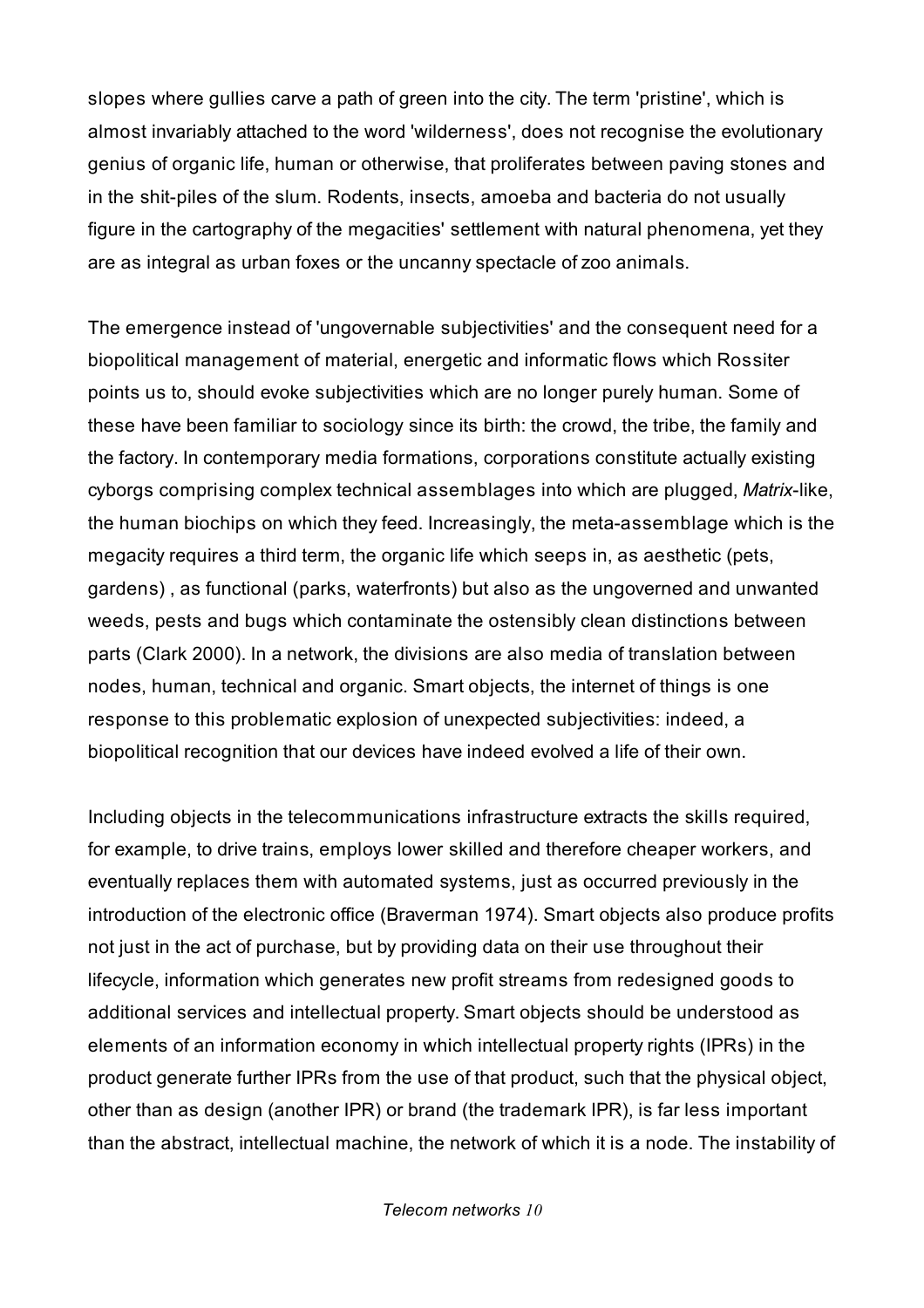slopes where gullies carve a path of green into the city. The term 'pristine', which is almost invariably attached to the word 'wilderness', does not recognise the evolutionary genius of organic life, human or otherwise, that proliferates between paving stones and in the shit-piles of the slum. Rodents, insects, amoeba and bacteria do not usually figure in the cartography of the megacities' settlement with natural phenomena, yet they are as integral as urban foxes or the uncanny spectacle of zoo animals.

The emergence instead of 'ungovernable subjectivities' and the consequent need for a biopolitical management of material, energetic and informatic flows which Rossiter points us to, should evoke subjectivities which are no longer purely human. Some of these have been familiar to sociology since its birth: the crowd, the tribe, the family and the factory. In contemporary media formations, corporations constitute actually existing cyborgs comprising complex technical assemblages into which are plugged, *Matrix*-like, the human biochips on which they feed. Increasingly, the meta-assemblage which is the megacity requires a third term, the organic life which seeps in, as aesthetic (pets, gardens) , as functional (parks, waterfronts) but also as the ungoverned and unwanted weeds, pests and bugs which contaminate the ostensibly clean distinctions between parts (Clark 2000). In a network, the divisions are also media of translation between nodes, human, technical and organic. Smart objects, the internet of things is one response to this problematic explosion of unexpected subjectivities: indeed, a biopolitical recognition that our devices have indeed evolved a life of their own.

Including objects in the telecommunications infrastructure extracts the skills required, for example, to drive trains, employs lower skilled and therefore cheaper workers, and eventually replaces them with automated systems, just as occurred previously in the introduction of the electronic office (Braverman 1974). Smart objects also produce profits not just in the act of purchase, but by providing data on their use throughout their lifecycle, information which generates new profit streams from redesigned goods to additional services and intellectual property. Smart objects should be understood as elements of an information economy in which intellectual property rights (IPRs) in the product generate further IPRs from the use of that product, such that the physical object, other than as design (another IPR) or brand (the trademark IPR), is far less important than the abstract, intellectual machine, the network of which it is a node. The instability of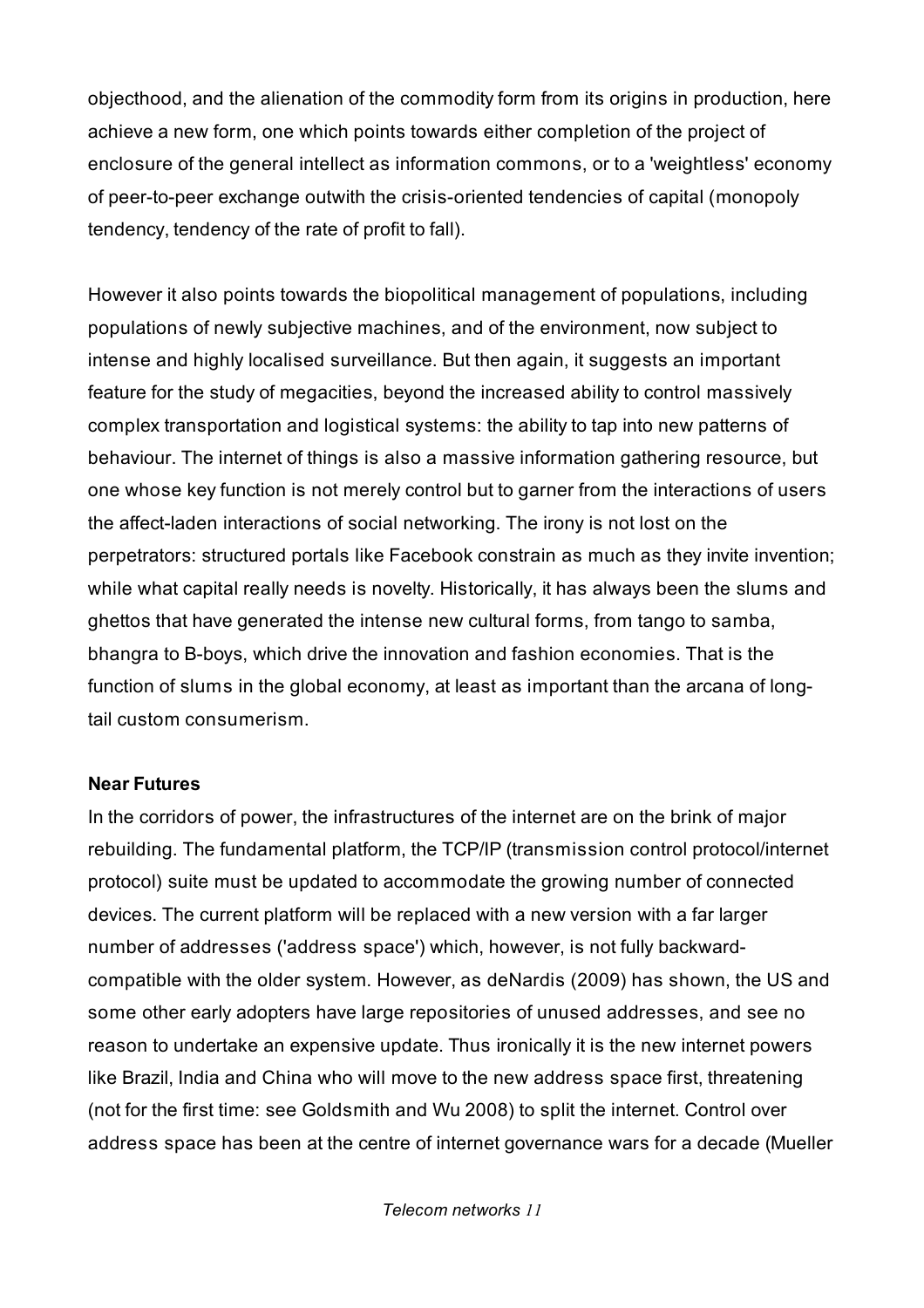objecthood, and the alienation of the commodity form from its origins in production, here achieve a new form, one which points towards either completion of the project of enclosure of the general intellect as information commons, or to a 'weightless' economy of peer-to-peer exchange outwith the crisis-oriented tendencies of capital (monopoly tendency, tendency of the rate of profit to fall).

However it also points towards the biopolitical management of populations, including populations of newly subjective machines, and of the environment, now subject to intense and highly localised surveillance. But then again, it suggests an important feature for the study of megacities, beyond the increased ability to control massively complex transportation and logistical systems: the ability to tap into new patterns of behaviour. The internet of things is also a massive information gathering resource, but one whose key function is not merely control but to garner from the interactions of users the affect-laden interactions of social networking. The irony is not lost on the perpetrators: structured portals like Facebook constrain as much as they invite invention; while what capital really needs is novelty. Historically, it has always been the slums and ghettos that have generated the intense new cultural forms, from tango to samba, bhangra to B-boys, which drive the innovation and fashion economies. That is the function of slums in the global economy, at least as important than the arcana of longtail custom consumerism.

#### **Near Futures**

In the corridors of power, the infrastructures of the internet are on the brink of major rebuilding. The fundamental platform, the TCP/IP (transmission control protocol/internet protocol) suite must be updated to accommodate the growing number of connected devices. The current platform will be replaced with a new version with a far larger number of addresses ('address space') which, however, is not fully backwardcompatible with the older system. However, as deNardis (2009) has shown, the US and some other early adopters have large repositories of unused addresses, and see no reason to undertake an expensive update. Thus ironically it is the new internet powers like Brazil, India and China who will move to the new address space first, threatening (not for the first time: see Goldsmith and Wu 2008) to split the internet. Control over address space has been at the centre of internet governance wars for a decade (Mueller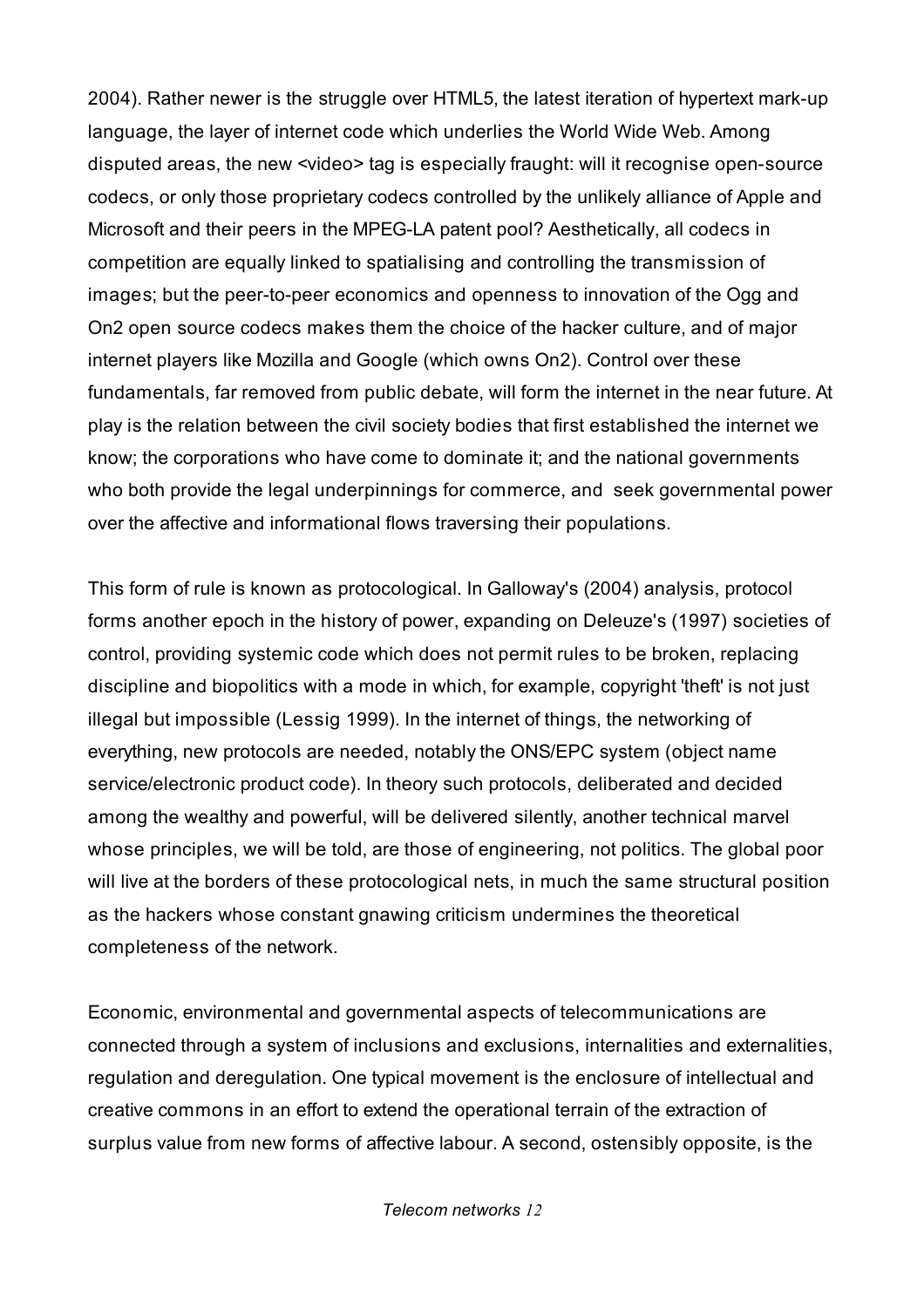2004). Rather newer is the struggle over HTML5, the latest iteration of hypertext mark-up language, the layer of internet code which underlies the World Wide Web. Among disputed areas, the new <video> tag is especially fraught: will it recognise open-source codecs, or only those proprietary codecs controlled by the unlikely alliance of Apple and Microsoft and their peers in the MPEG-LA patent pool? Aesthetically, all codecs in competition are equally linked to spatialising and controlling the transmission of images; but the peer-to-peer economics and openness to innovation of the Ogg and On2 open source codecs makes them the choice of the hacker culture, and of major internet players like Mozilla and Google (which owns On2). Control over these fundamentals, far removed from public debate, will form the internet in the near future. At play is the relation between the civil society bodies that first established the internet we know; the corporations who have come to dominate it; and the national governments who both provide the legal underpinnings for commerce, and seek governmental power over the affective and informational flows traversing their populations.

This form of rule is known as protocological. In Galloway's (2004) analysis, protocol forms another epoch in the history of power, expanding on Deleuze's (1997) societies of control, providing systemic code which does not permit rules to be broken, replacing discipline and biopolitics with a mode in which, for example, copyright 'theft' is not just illegal but impossible (Lessig 1999). In the internet of things, the networking of everything, new protocols are needed, notably the ONS/EPC system (object name service/electronic product code). In theory such protocols, deliberated and decided among the wealthy and powerful, will be delivered silently, another technical marvel whose principles, we will be told, are those of engineering, not politics. The global poor will live at the borders of these protocological nets, in much the same structural position as the hackers whose constant gnawing criticism undermines the theoretical completeness of the network.

Economic, environmental and governmental aspects of telecommunications are connected through a system of inclusions and exclusions, internalities and externalities, regulation and deregulation. One typical movement is the enclosure of intellectual and creative commons in an effort to extend the operational terrain of the extraction of surplus value from new forms of affective labour. A second, ostensibly opposite, is the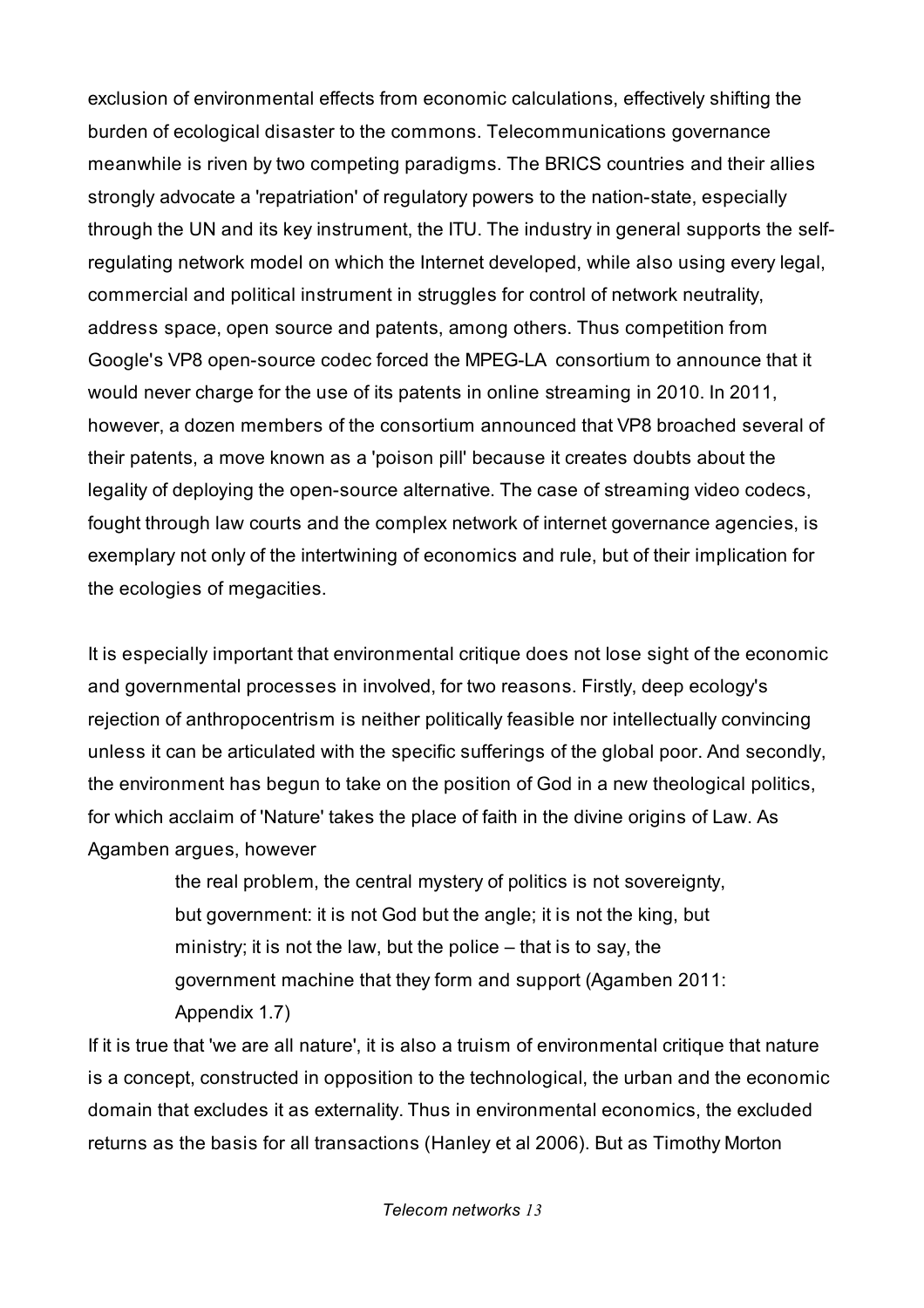exclusion of environmental effects from economic calculations, effectively shifting the burden of ecological disaster to the commons. Telecommunications governance meanwhile is riven by two competing paradigms. The BRICS countries and their allies strongly advocate a 'repatriation' of regulatory powers to the nation-state, especially through the UN and its key instrument, the ITU. The industry in general supports the selfregulating network model on which the Internet developed, while also using every legal, commercial and political instrument in struggles for control of network neutrality, address space, open source and patents, among others. Thus competition from Google's VP8 open-source codec forced the MPEG-LA consortium to announce that it would never charge for the use of its patents in online streaming in 2010. In 2011, however, a dozen members of the consortium announced that VP8 broached several of their patents, a move known as a 'poison pill' because it creates doubts about the legality of deploying the open-source alternative. The case of streaming video codecs, fought through law courts and the complex network of internet governance agencies, is exemplary not only of the intertwining of economics and rule, but of their implication for the ecologies of megacities.

It is especially important that environmental critique does not lose sight of the economic and governmental processes in involved, for two reasons. Firstly, deep ecology's rejection of anthropocentrism is neither politically feasible nor intellectually convincing unless it can be articulated with the specific sufferings of the global poor. And secondly, the environment has begun to take on the position of God in a new theological politics, for which acclaim of 'Nature' takes the place of faith in the divine origins of Law. As Agamben argues, however

> the real problem, the central mystery of politics is not sovereignty, but government: it is not God but the angle; it is not the king, but ministry; it is not the law, but the police – that is to say, the government machine that they form and support (Agamben 2011: Appendix 1.7)

If it is true that 'we are all nature', it is also a truism of environmental critique that nature is a concept, constructed in opposition to the technological, the urban and the economic domain that excludes it as externality. Thus in environmental economics, the excluded returns as the basis for all transactions (Hanley et al 2006). But as Timothy Morton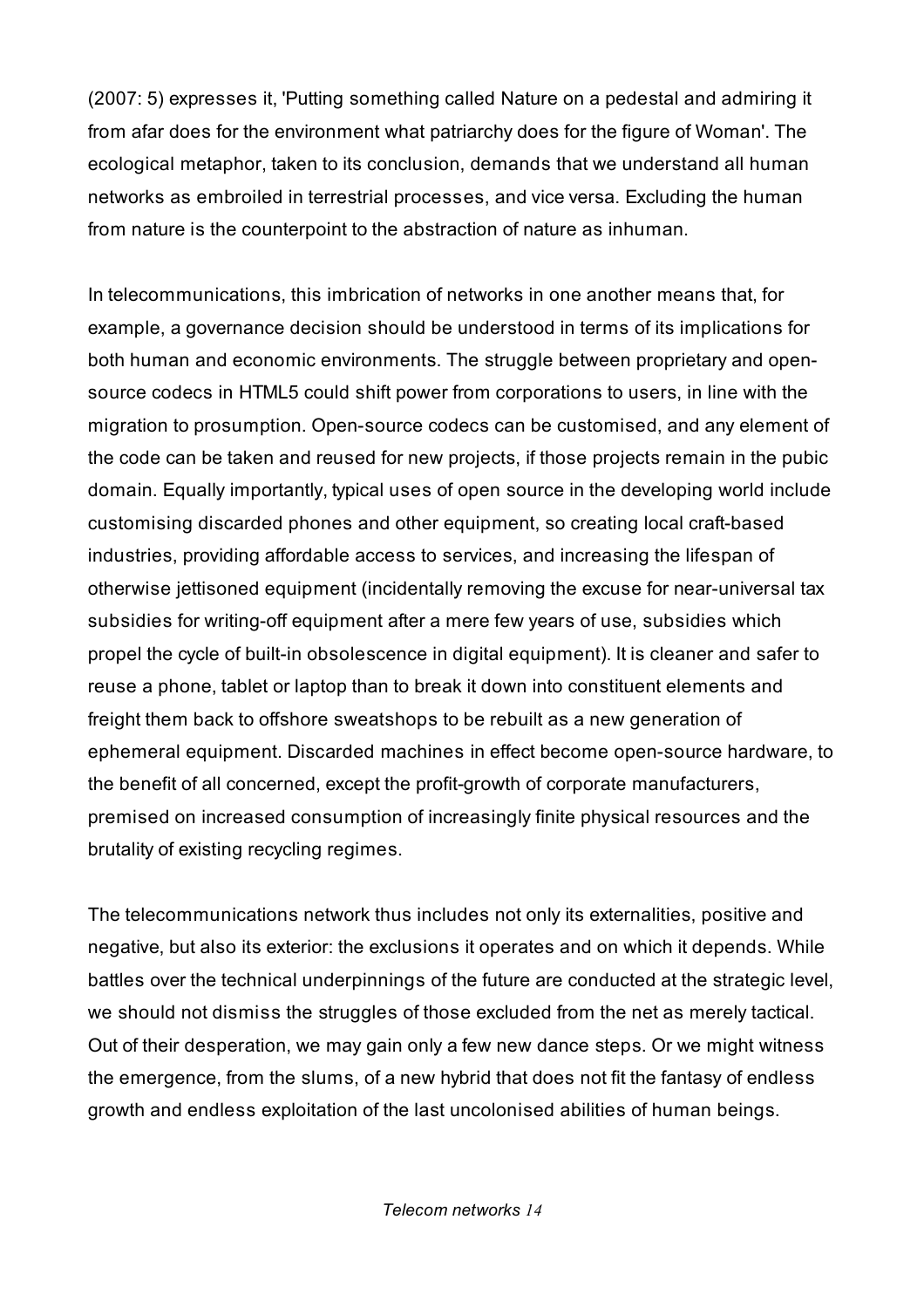(2007: 5) expresses it, 'Putting something called Nature on a pedestal and admiring it from afar does for the environment what patriarchy does for the figure of Woman'. The ecological metaphor, taken to its conclusion, demands that we understand all human networks as embroiled in terrestrial processes, and vice versa. Excluding the human from nature is the counterpoint to the abstraction of nature as inhuman.

In telecommunications, this imbrication of networks in one another means that, for example, a governance decision should be understood in terms of its implications for both human and economic environments. The struggle between proprietary and opensource codecs in HTML5 could shift power from corporations to users, in line with the migration to prosumption. Open-source codecs can be customised, and any element of the code can be taken and reused for new projects, if those projects remain in the pubic domain. Equally importantly, typical uses of open source in the developing world include customising discarded phones and other equipment, so creating local craft-based industries, providing affordable access to services, and increasing the lifespan of otherwise jettisoned equipment (incidentally removing the excuse for near-universal tax subsidies for writing-off equipment after a mere few years of use, subsidies which propel the cycle of built-in obsolescence in digital equipment). It is cleaner and safer to reuse a phone, tablet or laptop than to break it down into constituent elements and freight them back to offshore sweatshops to be rebuilt as a new generation of ephemeral equipment. Discarded machines in effect become open-source hardware, to the benefit of all concerned, except the profit-growth of corporate manufacturers, premised on increased consumption of increasingly finite physical resources and the brutality of existing recycling regimes.

The telecommunications network thus includes not only its externalities, positive and negative, but also its exterior: the exclusions it operates and on which it depends. While battles over the technical underpinnings of the future are conducted at the strategic level, we should not dismiss the struggles of those excluded from the net as merely tactical. Out of their desperation, we may gain only a few new dance steps. Or we might witness the emergence, from the slums, of a new hybrid that does not fit the fantasy of endless growth and endless exploitation of the last uncolonised abilities of human beings.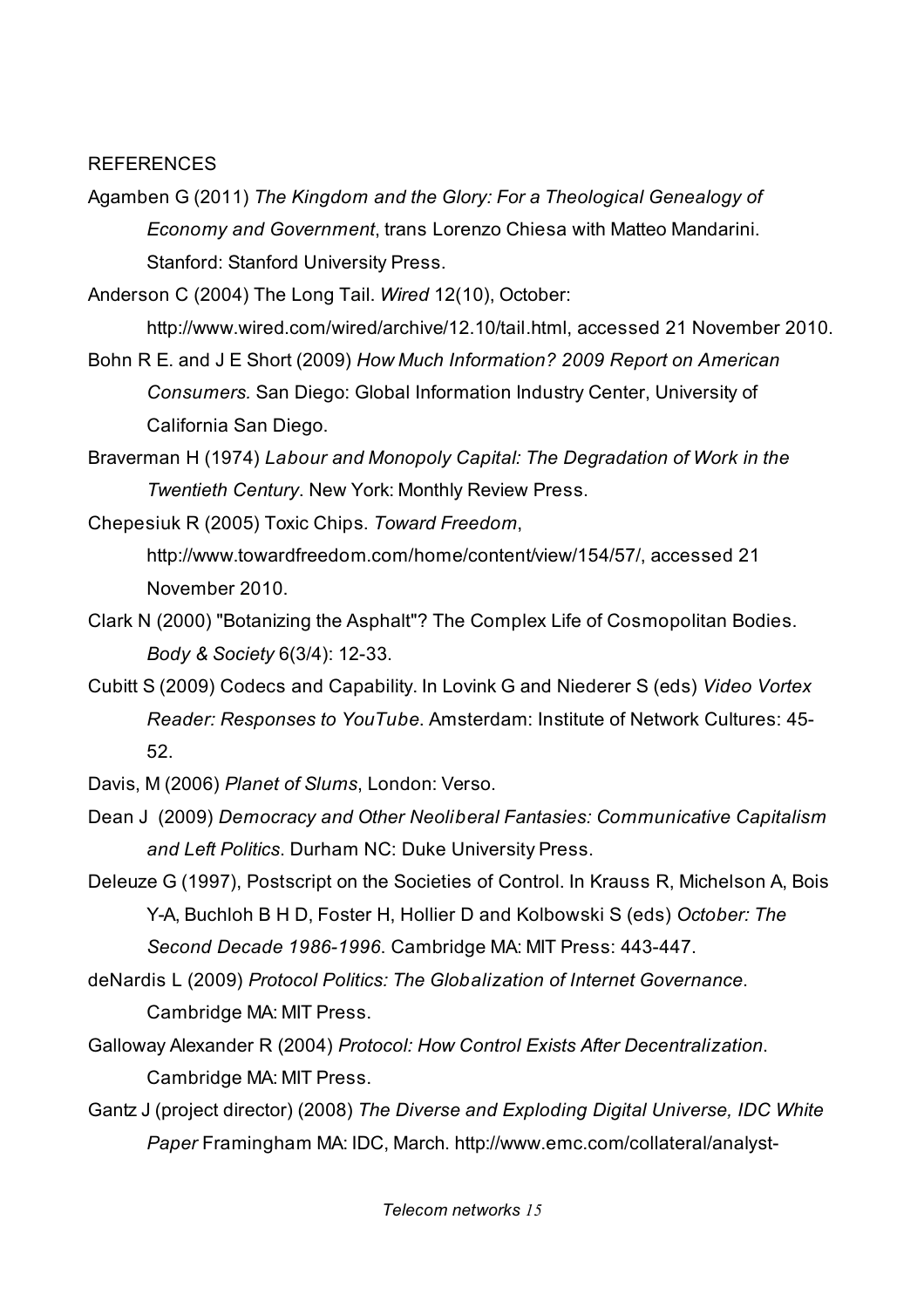### **REFERENCES**

Agamben G (2011) *The Kingdom and the Glory: For a Theological Genealogy of Economy and Government*, trans Lorenzo Chiesa with Matteo Mandarini. Stanford: Stanford University Press.

Anderson C (2004) The Long Tail. *Wired* 12(10), October:

http://www.wired.com/wired/archive/12.10/tail.html, accessed 21 November 2010.

- Bohn R E. and J E Short (2009) *How Much Information? 2009 Report on American Consumers.* San Diego: Global Information Industry Center, University of California San Diego.
- Braverman H (1974) *Labour and Monopoly Capital: The Degradation of Work in the Twentieth Century*. New York: Monthly Review Press.

Chepesiuk R (2005) Toxic Chips. *Toward Freedom*,

http://www.towardfreedom.com/home/content/view/154/57/, accessed 21 November 2010.

- Clark N (2000) "Botanizing the Asphalt"? The Complex Life of Cosmopolitan Bodies. *Body & Society* 6(3/4): 12-33.
- Cubitt S (2009) Codecs and Capability. In Lovink G and Niederer S (eds) *Video Vortex Reader: Responses to YouTube*. Amsterdam: Institute of Network Cultures: 45- 52.

Davis, M (2006) *Planet of Slums*, London: Verso.

- Dean J (2009) *Democracy and Other Neoliberal Fantasies: Communicative Capitalism and Left Politics*. Durham NC: Duke University Press.
- Deleuze G (1997), Postscript on the Societies of Control. In Krauss R, Michelson A, Bois Y-A, Buchloh B H D, Foster H, Hollier D and Kolbowski S (eds) *October: The Second Decade 1986-1996*. Cambridge MA: MIT Press: 443-447.
- deNardis L (2009) *Protocol Politics: The Globalization of Internet Governance*. Cambridge MA: MIT Press.
- Galloway Alexander R (2004) *Protocol: How Control Exists After Decentralization*. Cambridge MA: MIT Press.
- Gantz J (project director) (2008) *The Diverse and Exploding Digital Universe, IDC White Paper* Framingham MA: IDC, March. http://www.emc.com/collateral/analyst-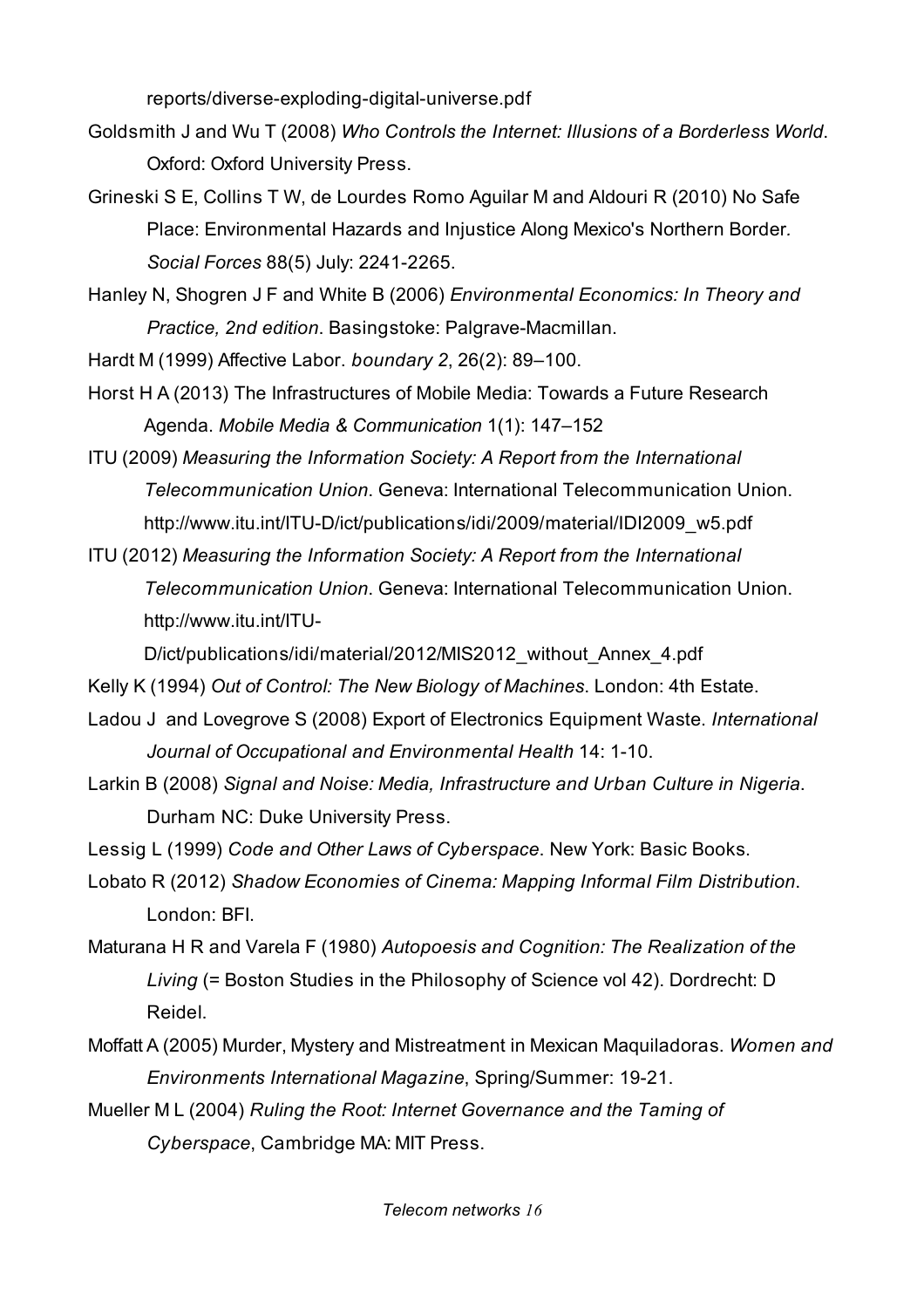reports/diverse-exploding-digital-universe.pdf

- Goldsmith J and Wu T (2008) *Who Controls the Internet: Illusions of a Borderless World*. Oxford: Oxford University Press.
- Grineski S E, Collins T W, de Lourdes Romo Aguilar M and Aldouri R (2010) No Safe Place: Environmental Hazards and Injustice Along Mexico's Northern Border*. Social Forces* 88(5) July: 2241-2265.
- Hanley N, Shogren J F and White B (2006) *Environmental Economics: In Theory and Practice, 2nd edition*. Basingstoke: Palgrave-Macmillan.

Hardt M (1999) Affective Labor. *boundary 2*, 26(2): 89–100.

- Horst H A (2013) The Infrastructures of Mobile Media: Towards a Future Research Agenda. *Mobile Media & Communication* 1(1): 147–152
- ITU (2009) *Measuring the Information Society: A Report from the International Telecommunication Union*. Geneva: International Telecommunication Union. http://www.itu.int/ITU-D/ict/publications/idi/2009/material/IDI2009\_w5.pdf
- ITU (2012) *Measuring the Information Society: A Report from the International Telecommunication Union*. Geneva: International Telecommunication Union. http://www.itu.int/ITU-

D/ict/publications/idi/material/2012/MIS2012\_without\_Annex\_4.pdf

- Kelly K (1994) *Out of Control: The New Biology of Machines*. London: 4th Estate.
- Ladou J and Lovegrove S (2008) Export of Electronics Equipment Waste. *International Journal of Occupational and Environmental Health* 14: 1-10.
- Larkin B (2008) *Signal and Noise: Media, Infrastructure and Urban Culture in Nigeria*. Durham NC: Duke University Press.
- Lessig L (1999) *Code and Other Laws of Cyberspace*. New York: Basic Books.
- Lobato R (2012) *Shadow Economies of Cinema: Mapping Informal Film Distribution*. London: BFI.
- Maturana H R and Varela F (1980) *Autopoesis and Cognition: The Realization of the Living* (= Boston Studies in the Philosophy of Science vol 42). Dordrecht: D Reidel.
- Moffatt A (2005) Murder, Mystery and Mistreatment in Mexican Maquiladoras. *Women and Environments International Magazine*, Spring/Summer: 19-21.
- Mueller M L (2004) *Ruling the Root: Internet Governance and the Taming of Cyberspace*, Cambridge MA: MIT Press.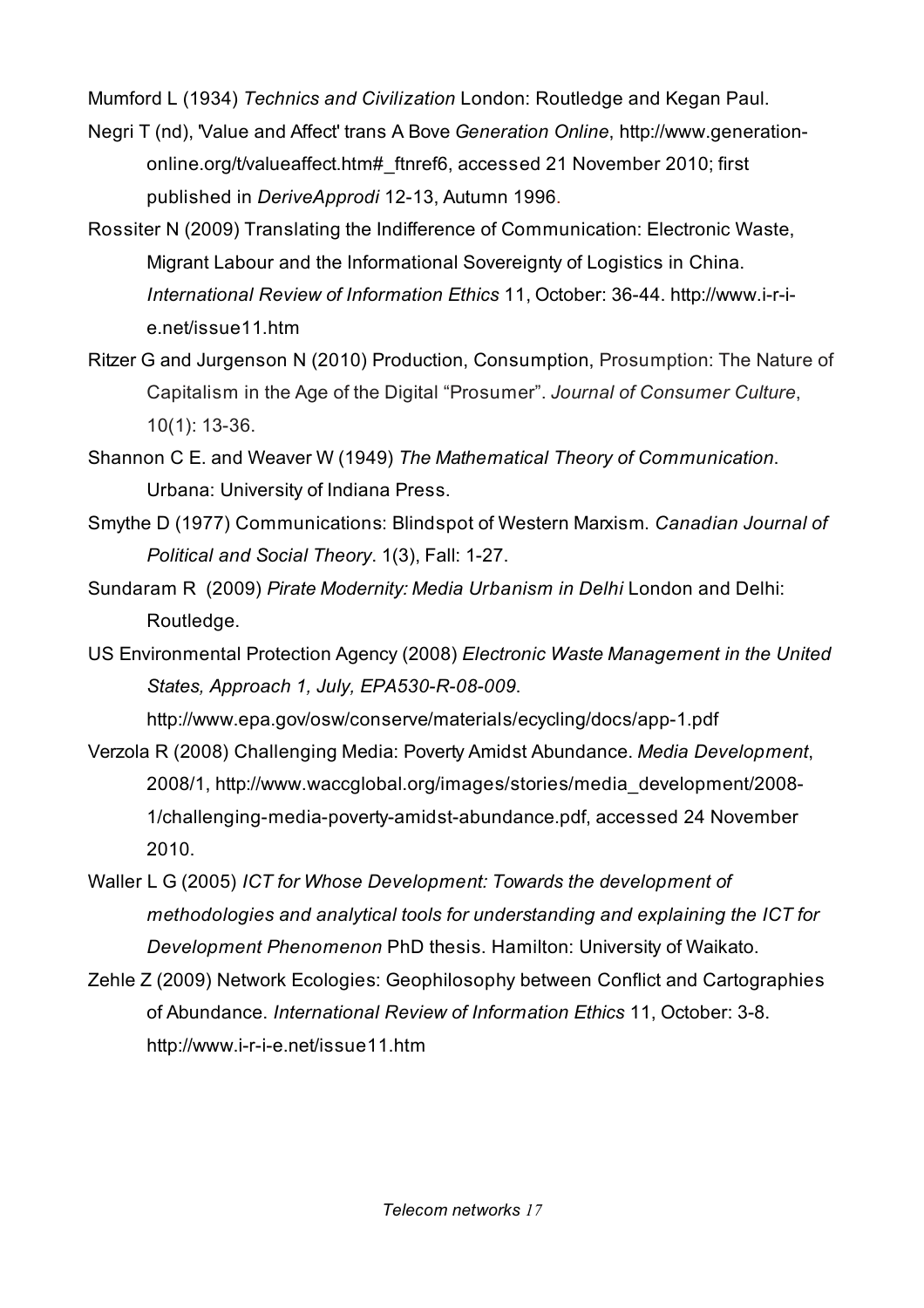Mumford L (1934) *Technics and Civilization* London: Routledge and Kegan Paul.

- Negri T (nd), 'Value and Affect' trans A Bove *Generation Online*, http://www.generationonline.org/t/valueaffect.htm# ftnref6, accessed 21 November 2010; first published in *DeriveApprodi* 12-13, Autumn 1996.
- Rossiter N (2009) Translating the Indifference of Communication: Electronic Waste, Migrant Labour and the Informational Sovereignty of Logistics in China. *International Review of Information Ethics* 11, October: 36-44. http://www.i-r-ie.net/issue11.htm
- Ritzer G and Jurgenson N (2010) Production, Consumption, Prosumption: The Nature of Capitalism in the Age of the Digital "Prosumer". *Journal of Consumer Culture*, 10(1): 13-36.
- Shannon C E. and Weaver W (1949) *The Mathematical Theory of Communication*. Urbana: University of Indiana Press.
- Smythe D (1977) Communications: Blindspot of Western Marxism. *Canadian Journal of Political and Social Theory*. 1(3), Fall: 1-27.
- Sundaram R (2009) *Pirate Modernity: Media Urbanism in Delhi* London and Delhi: Routledge.
- US Environmental Protection Agency (2008) *Electronic Waste Management in the United States, Approach 1, July, EPA530-R-08-009*.

http://www.epa.gov/osw/conserve/materials/ecycling/docs/app-1.pdf

- Verzola R (2008) Challenging Media: Poverty Amidst Abundance. *Media Development*, 2008/1, http://www.waccglobal.org/images/stories/media\_development/2008- 1/challenging-media-poverty-amidst-abundance.pdf, accessed 24 November 2010.
- Waller L G (2005) *ICT for Whose Development: Towards the development of methodologies and analytical tools for understanding and explaining the ICT for Development Phenomenon* PhD thesis. Hamilton: University of Waikato.
- Zehle Z (2009) Network Ecologies: Geophilosophy between Conflict and Cartographies of Abundance. *International Review of Information Ethics* 11, October: 3-8. http://www.i-r-i-e.net/issue11.htm